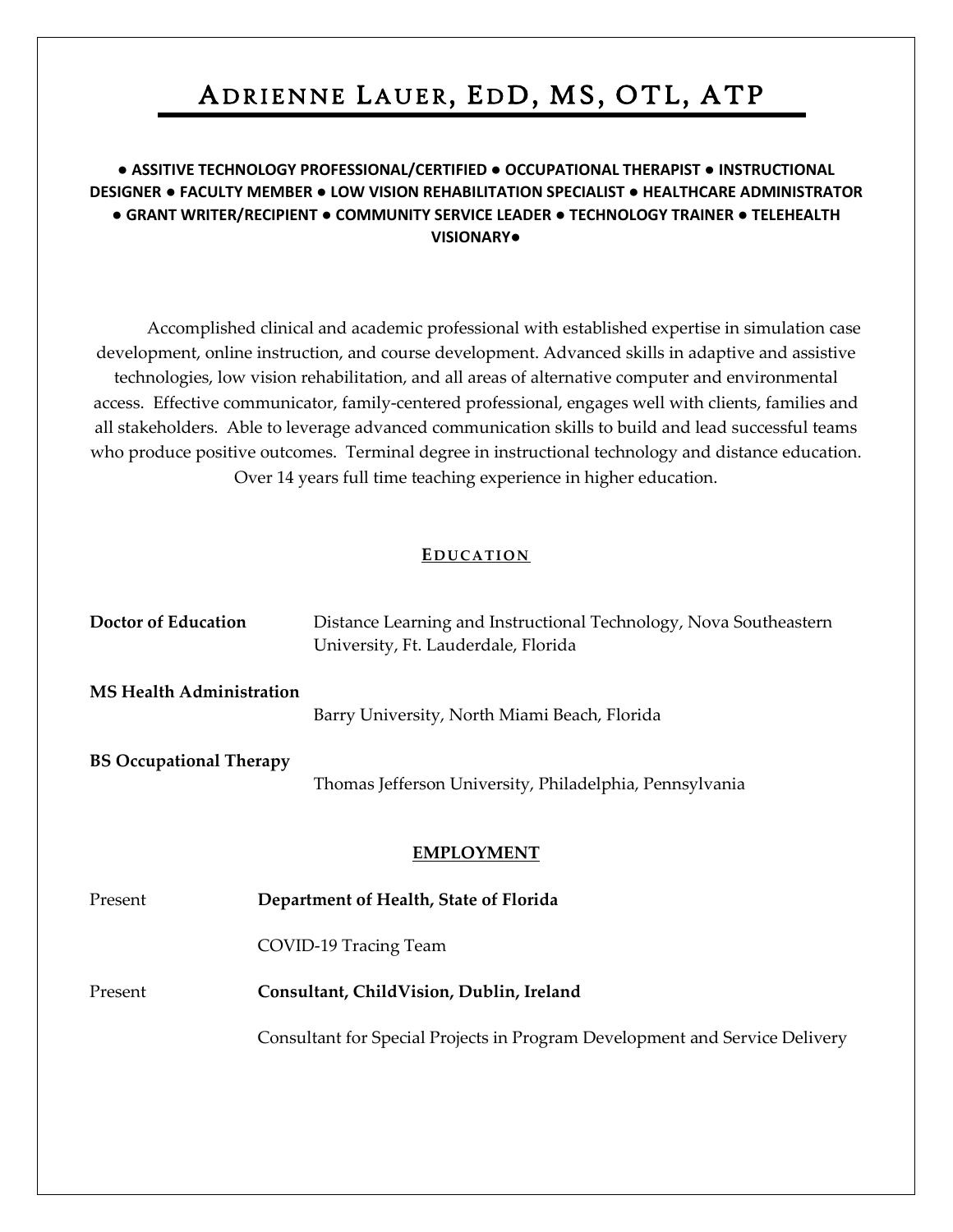# ADRIENNE LAUER, EDD, MS, OTL, ATP

## **● ASSITIVE TECHNOLOGY PROFESSIONAL/CERTIFIED** ● **OCCUPATIONAL THERAPIST ● INSTRUCTIONAL DESIGNER ● FACULTY MEMBER ● LOW VISION REHABILITATION SPECIALIST ● HEALTHCARE ADMINISTRATOR ● GRANT WRITER/RECIPIENT ● COMMUNITY SERVICE LEADER ● TECHNOLOGY TRAINER** ● **TELEHEALTH VISIONARY●**

 Accomplished clinical and academic professional with established expertise in simulation case development, online instruction, and course development. Advanced skills in adaptive and assistive technologies, low vision rehabilitation, and all areas of alternative computer and environmental access. Effective communicator, family-centered professional, engages well with clients, families and all stakeholders. Able to leverage advanced communication skills to build and lead successful teams who produce positive outcomes. Terminal degree in instructional technology and distance education. Over 14 years full time teaching experience in higher education.

#### **EDUCATION**

| <b>Doctor of Education</b>      | Distance Learning and Instructional Technology, Nova Southeastern<br>University, Ft. Lauderdale, Florida |
|---------------------------------|----------------------------------------------------------------------------------------------------------|
| <b>MS Health Administration</b> | Barry University, North Miami Beach, Florida                                                             |
| <b>BS Occupational Therapy</b>  | Thomas Jefferson University, Philadelphia, Pennsylvania                                                  |
|                                 | <b>EMPLOYMENT</b>                                                                                        |
| Present                         | Department of Health, State of Florida                                                                   |
|                                 | COVID-19 Tracing Team                                                                                    |
| Present                         | Consultant, ChildVision, Dublin, Ireland                                                                 |
|                                 | Consultant for Special Projects in Program Development and Service Delivery                              |
|                                 |                                                                                                          |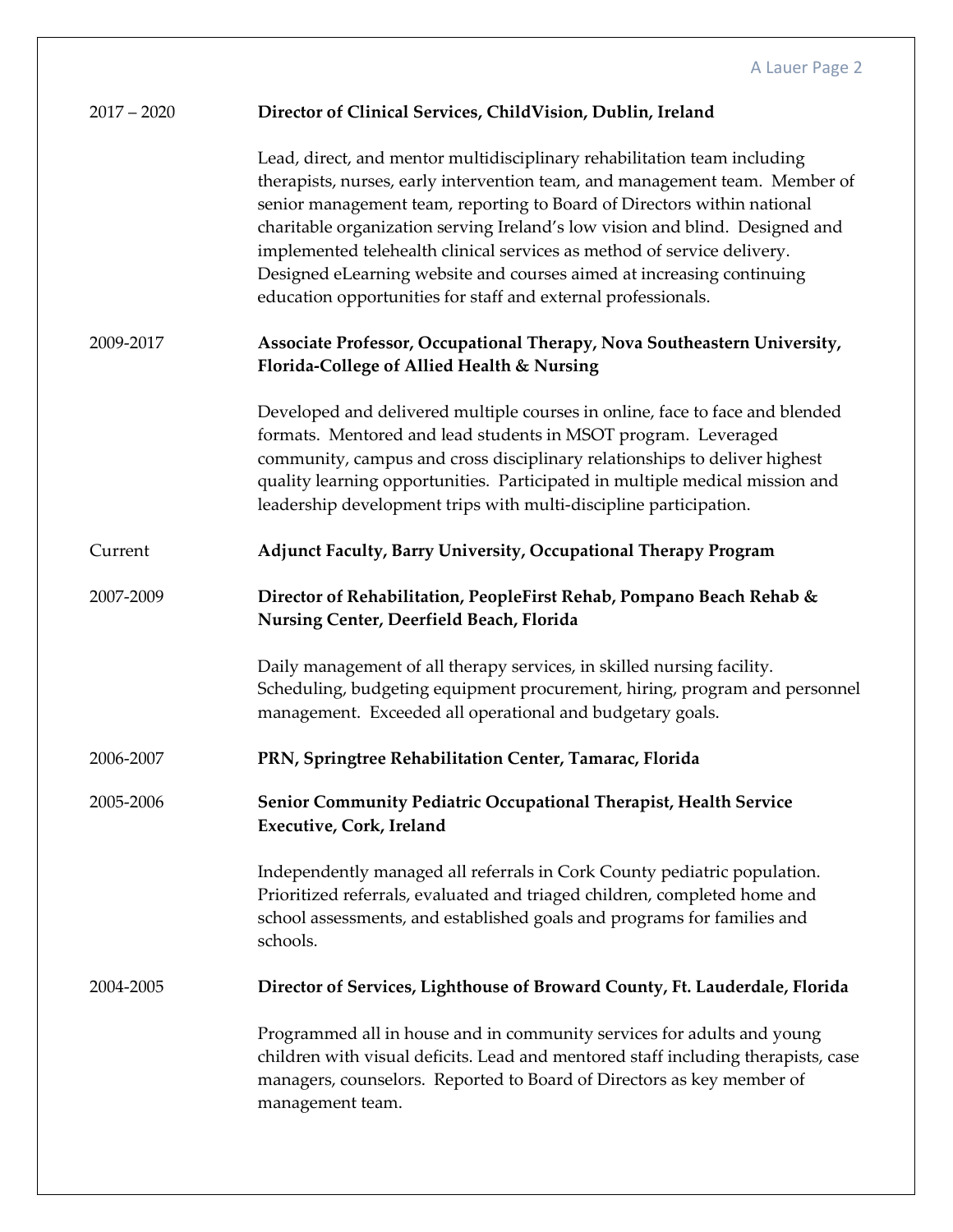| $2017 - 2020$ | Director of Clinical Services, ChildVision, Dublin, Ireland                                                                                                                                                                                                                                                                                                                                                                                                                                                                             |
|---------------|-----------------------------------------------------------------------------------------------------------------------------------------------------------------------------------------------------------------------------------------------------------------------------------------------------------------------------------------------------------------------------------------------------------------------------------------------------------------------------------------------------------------------------------------|
|               | Lead, direct, and mentor multidisciplinary rehabilitation team including<br>therapists, nurses, early intervention team, and management team. Member of<br>senior management team, reporting to Board of Directors within national<br>charitable organization serving Ireland's low vision and blind. Designed and<br>implemented telehealth clinical services as method of service delivery.<br>Designed eLearning website and courses aimed at increasing continuing<br>education opportunities for staff and external professionals. |
| 2009-2017     | Associate Professor, Occupational Therapy, Nova Southeastern University,<br>Florida-College of Allied Health & Nursing                                                                                                                                                                                                                                                                                                                                                                                                                  |
|               | Developed and delivered multiple courses in online, face to face and blended<br>formats. Mentored and lead students in MSOT program. Leveraged<br>community, campus and cross disciplinary relationships to deliver highest<br>quality learning opportunities. Participated in multiple medical mission and<br>leadership development trips with multi-discipline participation.                                                                                                                                                        |
| Current       | <b>Adjunct Faculty, Barry University, Occupational Therapy Program</b>                                                                                                                                                                                                                                                                                                                                                                                                                                                                  |
| 2007-2009     | Director of Rehabilitation, PeopleFirst Rehab, Pompano Beach Rehab &<br>Nursing Center, Deerfield Beach, Florida                                                                                                                                                                                                                                                                                                                                                                                                                        |
|               | Daily management of all therapy services, in skilled nursing facility.<br>Scheduling, budgeting equipment procurement, hiring, program and personnel<br>management. Exceeded all operational and budgetary goals.                                                                                                                                                                                                                                                                                                                       |
| 2006-2007     | PRN, Springtree Rehabilitation Center, Tamarac, Florida                                                                                                                                                                                                                                                                                                                                                                                                                                                                                 |
| 2005-2006     | Senior Community Pediatric Occupational Therapist, Health Service<br><b>Executive, Cork, Ireland</b>                                                                                                                                                                                                                                                                                                                                                                                                                                    |
|               | Independently managed all referrals in Cork County pediatric population.<br>Prioritized referrals, evaluated and triaged children, completed home and<br>school assessments, and established goals and programs for families and<br>schools.                                                                                                                                                                                                                                                                                            |
| 2004-2005     | Director of Services, Lighthouse of Broward County, Ft. Lauderdale, Florida                                                                                                                                                                                                                                                                                                                                                                                                                                                             |
|               | Programmed all in house and in community services for adults and young<br>children with visual deficits. Lead and mentored staff including therapists, case<br>managers, counselors. Reported to Board of Directors as key member of<br>management team.                                                                                                                                                                                                                                                                                |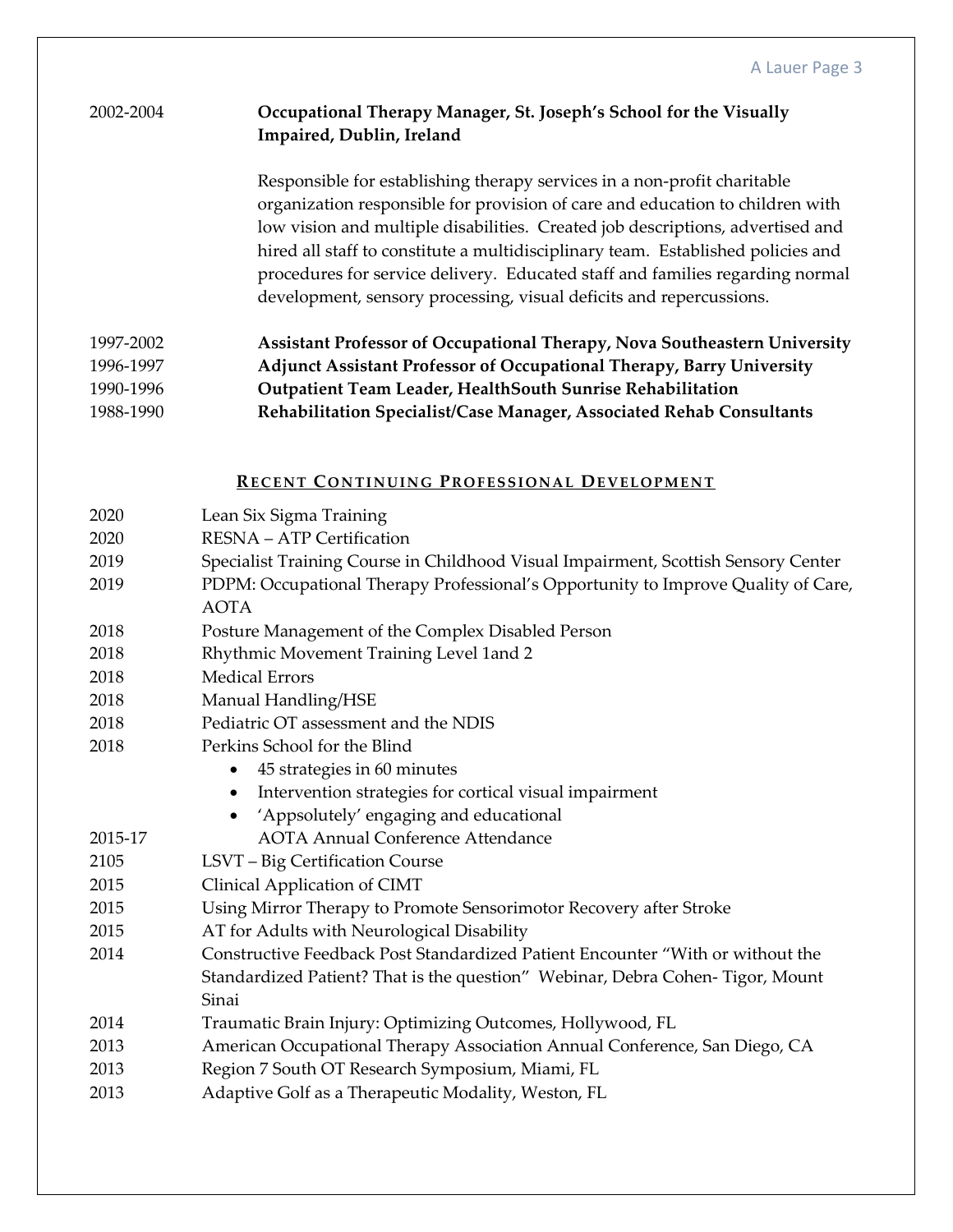## 2002-2004 **Occupational Therapy Manager, St. Joseph's School for the Visually Impaired, Dublin, Ireland**

Responsible for establishing therapy services in a non-profit charitable organization responsible for provision of care and education to children with low vision and multiple disabilities. Created job descriptions, advertised and hired all staff to constitute a multidisciplinary team. Established policies and procedures for service delivery. Educated staff and families regarding normal development, sensory processing, visual deficits and repercussions.

| 1997-2002 | Assistant Professor of Occupational Therapy, Nova Southeastern University |
|-----------|---------------------------------------------------------------------------|
| 1996-1997 | Adjunct Assistant Professor of Occupational Therapy, Barry University     |
| 1990-1996 | Outpatient Team Leader, HealthSouth Sunrise Rehabilitation                |
| 1988-1990 | Rehabilitation Specialist/Case Manager, Associated Rehab Consultants      |

### **RECENT CONTINUING PROFESSIONAL DEVELOPMENT**

| 2020    | Lean Six Sigma Training                                                            |
|---------|------------------------------------------------------------------------------------|
| 2020    | RESNA - ATP Certification                                                          |
| 2019    | Specialist Training Course in Childhood Visual Impairment, Scottish Sensory Center |
| 2019    | PDPM: Occupational Therapy Professional's Opportunity to Improve Quality of Care,  |
|         | <b>AOTA</b>                                                                        |
| 2018    | Posture Management of the Complex Disabled Person                                  |
| 2018    | Rhythmic Movement Training Level 1and 2                                            |
| 2018    | <b>Medical Errors</b>                                                              |
| 2018    | Manual Handling/HSE                                                                |
| 2018    | Pediatric OT assessment and the NDIS                                               |
| 2018    | Perkins School for the Blind                                                       |
|         | 45 strategies in 60 minutes<br>$\bullet$                                           |
|         | Intervention strategies for cortical visual impairment<br>$\bullet$                |
|         | 'Appsolutely' engaging and educational<br>$\bullet$                                |
| 2015-17 | <b>AOTA Annual Conference Attendance</b>                                           |
| 2105    | LSVT - Big Certification Course                                                    |
| 2015    | Clinical Application of CIMT                                                       |
| 2015    | Using Mirror Therapy to Promote Sensorimotor Recovery after Stroke                 |
| 2015    | AT for Adults with Neurological Disability                                         |
| 2014    | Constructive Feedback Post Standardized Patient Encounter "With or without the     |
|         | Standardized Patient? That is the question" Webinar, Debra Cohen-Tigor, Mount      |
|         | Sinai                                                                              |
| 2014    | Traumatic Brain Injury: Optimizing Outcomes, Hollywood, FL                         |
| 2013    | American Occupational Therapy Association Annual Conference, San Diego, CA         |
| 2013    | Region 7 South OT Research Symposium, Miami, FL                                    |
| 2013    | Adaptive Golf as a Therapeutic Modality, Weston, FL                                |